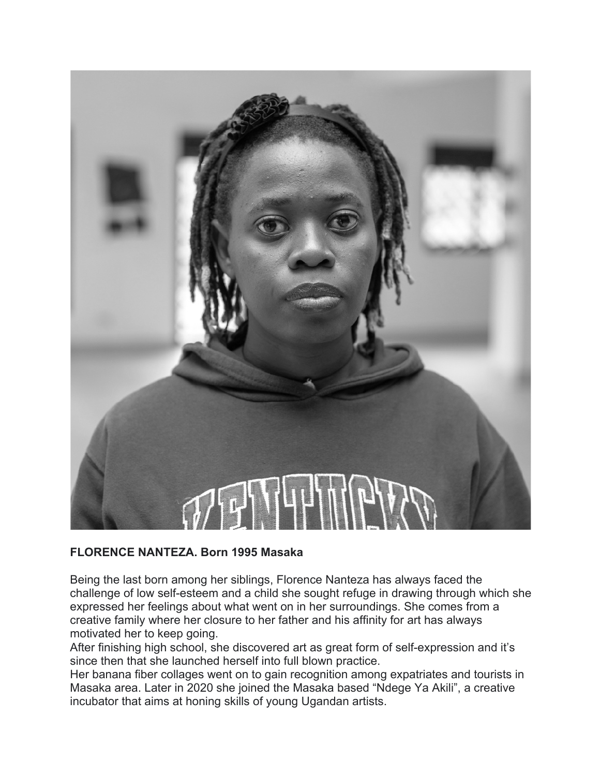

## **FLORENCE NANTEZA. Born 1995 Masaka**

Being the last born among her siblings, Florence Nanteza has always faced the challenge of low self-esteem and a child she sought refuge in drawing through which she expressed her feelings about what went on in her surroundings. She comes from a creative family where her closure to her father and his affinity for art has always motivated her to keep going.

After finishing high school, she discovered art as great form of self-expression and it's since then that she launched herself into full blown practice.

Her banana fiber collages went on to gain recognition among expatriates and tourists in Masaka area. Later in 2020 she joined the Masaka based "Ndege Ya Akili", a creative incubator that aims at honing skills of young Ugandan artists.